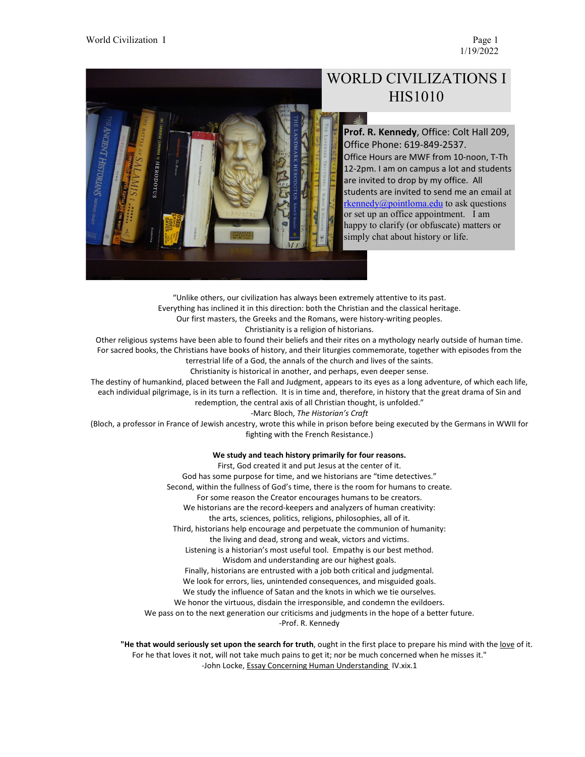1/19/2022



# WORLD CIVILIZATIONS I HIS1010

**Prof. R. Kennedy**, Office: Colt Hall 209, Office Phone: 619-849-2537. Office Hours are MWF from 10-noon, T-Th 12-2pm. I am on campus a lot and students are invited to drop by my office. All students are invited to send me an email at [rkennedy@pointloma.edu](mailto:rkennedy@pointloma.edu) to ask questions or set up an office appointment. I am happy to clarify (or obfuscate) matters or simply chat about history or life.

"Unlike others, our civilization has always been extremely attentive to its past. Everything has inclined it in this direction: both the Christian and the classical heritage. Our first masters, the Greeks and the Romans, were history-writing peoples. Christianity is a religion of historians.

Other religious systems have been able to found their beliefs and their rites on a mythology nearly outside of human time. For sacred books, the Christians have books of history, and their liturgies commemorate, together with episodes from the terrestrial life of a God, the annals of the church and lives of the saints.

Christianity is historical in another, and perhaps, even deeper sense.

The destiny of humankind, placed between the Fall and Judgment, appears to its eyes as a long adventure, of which each life, each individual pilgrimage, is in its turn a reflection. It is in time and, therefore, in history that the great drama of Sin and redemption, the central axis of all Christian thought, is unfolded."

-Marc Bloch, *The Historian's Craft*

(Bloch, a professor in France of Jewish ancestry, wrote this while in prison before being executed by the Germans in WWII for fighting with the French Resistance.)

#### **We study and teach history primarily for four reasons.**

First, God created it and put Jesus at the center of it. God has some purpose for time, and we historians are "time detectives." Second, within the fullness of God's time, there is the room for humans to create. For some reason the Creator encourages humans to be creators. We historians are the record-keepers and analyzers of human creativity: the arts, sciences, politics, religions, philosophies, all of it. Third, historians help encourage and perpetuate the communion of humanity: the living and dead, strong and weak, victors and victims. Listening is a historian's most useful tool. Empathy is our best method. Wisdom and understanding are our highest goals. Finally, historians are entrusted with a job both critical and judgmental. We look for errors, lies, unintended consequences, and misguided goals. We study the influence of Satan and the knots in which we tie ourselves. We honor the virtuous, disdain the irresponsible, and condemn the evildoers. We pass on to the next generation our criticisms and judgments in the hope of a better future. -Prof. R. Kennedy

**"He that would seriously set upon the search for truth**, ought in the first place to prepare his mind with the love of it. For he that loves it not, will not take much pains to get it; nor be much concerned when he misses it." -John Locke, Essay Concerning Human Understanding IV.xix.1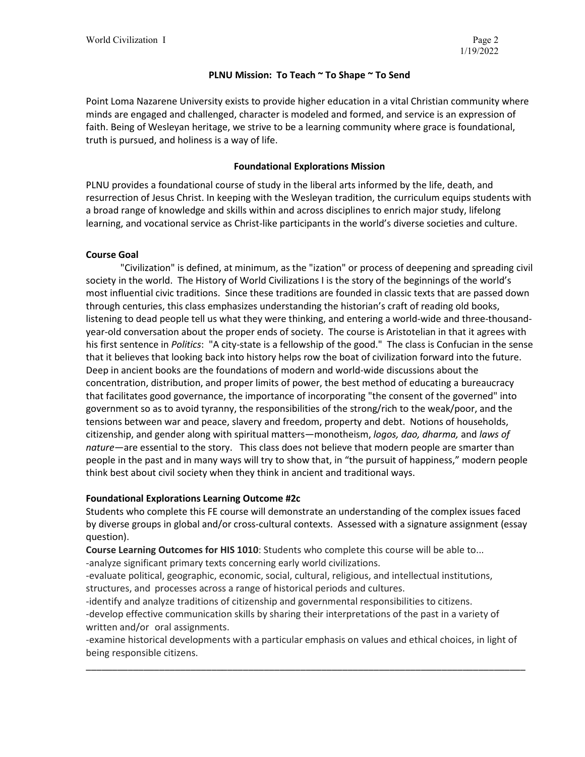## **PLNU Mission: To Teach ~ To Shape ~ To Send**

Point Loma Nazarene University exists to provide higher education in a vital Christian community where minds are engaged and challenged, character is modeled and formed, and service is an expression of faith. Being of Wesleyan heritage, we strive to be a learning community where grace is foundational, truth is pursued, and holiness is a way of life.

# **Foundational Explorations Mission**

PLNU provides a foundational course of study in the liberal arts informed by the life, death, and resurrection of Jesus Christ. In keeping with the Wesleyan tradition, the curriculum equips students with a broad range of knowledge and skills within and across disciplines to enrich major study, lifelong learning, and vocational service as Christ-like participants in the world's diverse societies and culture.

# **Course Goal**

"Civilization" is defined, at minimum, as the "ization" or process of deepening and spreading civil society in the world. The History of World Civilizations I is the story of the beginnings of the world's most influential civic traditions. Since these traditions are founded in classic texts that are passed down through centuries, this class emphasizes understanding the historian's craft of reading old books, listening to dead people tell us what they were thinking, and entering a world-wide and three-thousandyear-old conversation about the proper ends of society. The course is Aristotelian in that it agrees with his first sentence in *Politics*: "A city-state is a fellowship of the good." The class is Confucian in the sense that it believes that looking back into history helps row the boat of civilization forward into the future. Deep in ancient books are the foundations of modern and world-wide discussions about the concentration, distribution, and proper limits of power, the best method of educating a bureaucracy that facilitates good governance, the importance of incorporating "the consent of the governed" into government so as to avoid tyranny, the responsibilities of the strong/rich to the weak/poor, and the tensions between war and peace, slavery and freedom, property and debt. Notions of households, citizenship, and gender along with spiritual matters—monotheism, *logos, dao, dharma,* and *laws of nature*—are essential to the story. This class does not believe that modern people are smarter than people in the past and in many ways will try to show that, in "the pursuit of happiness," modern people think best about civil society when they think in ancient and traditional ways.

## **Foundational Explorations Learning Outcome #2c**

Students who complete this FE course will demonstrate an understanding of the complex issues faced by diverse groups in global and/or cross-cultural contexts. Assessed with a signature assignment (essay question).

**Course Learning Outcomes for HIS 1010**: Students who complete this course will be able to... -analyze significant primary texts concerning early world civilizations.

-evaluate political, geographic, economic, social, cultural, religious, and intellectual institutions, structures, and processes across a range of historical periods and cultures.

-identify and analyze traditions of citizenship and governmental responsibilities to citizens. -develop effective communication skills by sharing their interpretations of the past in a variety of written and/or oral assignments.

-examine historical developments with a particular emphasis on values and ethical choices, in light of being responsible citizens.

\_\_\_\_\_\_\_\_\_\_\_\_\_\_\_\_\_\_\_\_\_\_\_\_\_\_\_\_\_\_\_\_\_\_\_\_\_\_\_\_\_\_\_\_\_\_\_\_\_\_\_\_\_\_\_\_\_\_\_\_\_\_\_\_\_\_\_\_\_\_\_\_\_\_\_\_\_\_\_\_\_\_\_\_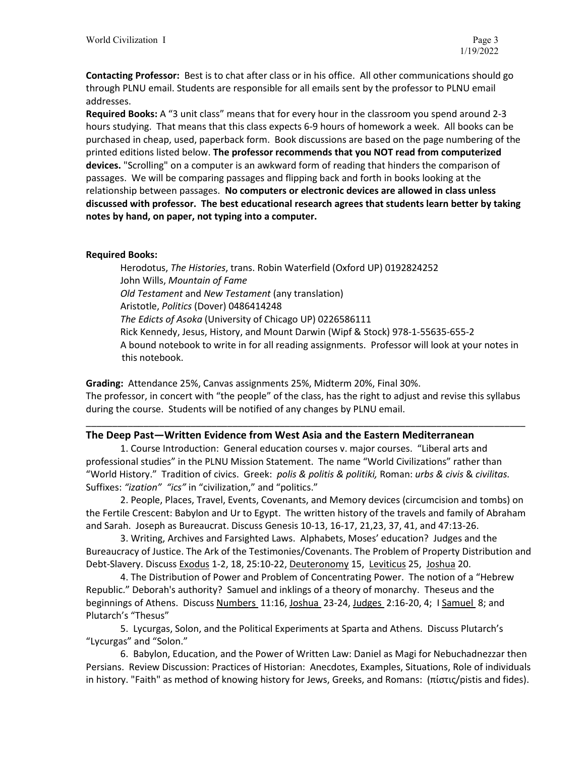**Contacting Professor:** Best is to chat after class or in his office. All other communications should go through PLNU email. Students are responsible for all emails sent by the professor to PLNU email addresses.

**Required Books:** A "3 unit class" means that for every hour in the classroom you spend around 2-3 hours studying. That means that this class expects 6-9 hours of homework a week. All books can be purchased in cheap, used, paperback form. Book discussions are based on the page numbering of the printed editions listed below. **The professor recommends that you NOT read from computerized devices.** "Scrolling" on a computer is an awkward form of reading that hinders the comparison of passages. We will be comparing passages and flipping back and forth in books looking at the relationship between passages. **No computers or electronic devices are allowed in class unless discussed with professor. The best educational research agrees that students learn better by taking notes by hand, on paper, not typing into a computer.** 

# **Required Books:**

Herodotus, *The Histories*, trans. Robin Waterfield (Oxford UP) 0192824252 John Wills, *Mountain of Fame Old Testament* and *New Testament* (any translation) Aristotle, *Politics* (Dover) 0486414248 *The Edicts of Asoka* (University of Chicago UP) 0226586111 Rick Kennedy, Jesus, History, and Mount Darwin (Wipf & Stock) 978-1-55635-655-2 A bound notebook to write in for all reading assignments. Professor will look at your notes in this notebook.

**Grading:** Attendance 25%, Canvas assignments 25%, Midterm 20%, Final 30%. The professor, in concert with "the people" of the class, has the right to adjust and revise this syllabus during the course. Students will be notified of any changes by PLNU email.

\_\_\_\_\_\_\_\_\_\_\_\_\_\_\_\_\_\_\_\_\_\_\_\_\_\_\_\_\_\_\_\_\_\_\_\_\_\_\_\_\_\_\_\_\_\_\_\_\_\_\_\_\_\_\_\_\_\_\_\_\_\_\_\_\_\_\_\_\_\_\_\_\_\_\_\_\_\_\_\_\_\_\_\_

## **The Deep Past—Written Evidence from West Asia and the Eastern Mediterranean**

1. Course Introduction: General education courses v. major courses. "Liberal arts and professional studies" in the PLNU Mission Statement. The name "World Civilizations" rather than "World History." Tradition of civics. Greek: *polis & politis & politiki,* Roman: *urbs & civis* & *civilitas.*  Suffixes: *"ization" "ics"* in "civilization," and "politics."

2. People, Places, Travel, Events, Covenants, and Memory devices (circumcision and tombs) on the Fertile Crescent: Babylon and Ur to Egypt. The written history of the travels and family of Abraham and Sarah. Joseph as Bureaucrat. Discuss Genesis 10-13, 16-17, 21,23, 37, 41, and 47:13-26.

3. Writing, Archives and Farsighted Laws. Alphabets, Moses' education? Judges and the Bureaucracy of Justice. The Ark of the Testimonies/Covenants. The Problem of Property Distribution and Debt-Slavery. Discuss Exodus 1-2, 18, 25:10-22, Deuteronomy 15, Leviticus 25, Joshua 20.

4. The Distribution of Power and Problem of Concentrating Power. The notion of a "Hebrew Republic." Deborah's authority? Samuel and inklings of a theory of monarchy. Theseus and the beginnings of Athens. Discuss Numbers 11:16, Joshua 23-24, Judges 2:16-20, 4; I Samuel 8; and Plutarch's "Thesus"

5. Lycurgas, Solon, and the Political Experiments at Sparta and Athens. Discuss Plutarch's "Lycurgas" and "Solon."

6. Babylon, Education, and the Power of Written Law: Daniel as Magi for Nebuchadnezzar then Persians. Review Discussion: Practices of Historian: Anecdotes, Examples, Situations, Role of individuals in history. "Faith" as method of knowing history for Jews, Greeks, and Romans: (πίστις/pistis and fides).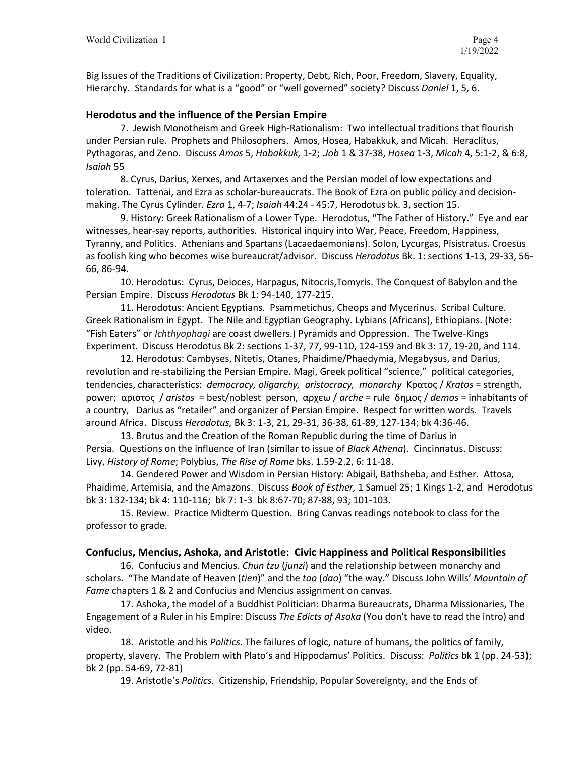Big Issues of the Traditions of Civilization: Property, Debt, Rich, Poor, Freedom, Slavery, Equality, Hierarchy. Standards for what is a "good" or "well governed" society? Discuss *Daniel* 1, 5, 6.

# **Herodotus and the influence of the Persian Empire**

7. Jewish Monotheism and Greek High-Rationalism: Two intellectual traditions that flourish under Persian rule. Prophets and Philosophers. Amos, Hosea, Habakkuk, and Micah. Heraclitus, Pythagoras, and Zeno. Discuss *Amos* 5, *Habakkuk,* 1-2; .*Job* 1 & 37-38, *Hosea* 1-3, *Micah* 4, 5:1-2, & 6:8, *Isaiah* 55

8. Cyrus, Darius, Xerxes, and Artaxerxes and the Persian model of low expectations and toleration. Tattenai, and Ezra as scholar-bureaucrats. The Book of Ezra on public policy and decisionmaking. The Cyrus Cylinder. *Ezra* 1, 4-7; *Isaiah* 44:24 - 45:7, Herodotus bk. 3, section 15.

9. History: Greek Rationalism of a Lower Type. Herodotus, "The Father of History." Eye and ear witnesses, hear-say reports, authorities. Historical inquiry into War, Peace, Freedom, Happiness, Tyranny, and Politics. Athenians and Spartans (Lacaedaemonians). Solon, Lycurgas, Pisistratus. Croesus as foolish king who becomes wise bureaucrat/advisor. Discuss *Herodotus* Bk. 1: sections 1-13, 29-33, 56- 66, 86-94.

10. Herodotus: Cyrus, Deioces, Harpagus, Nitocris,Tomyris. The Conquest of Babylon and the Persian Empire. Discuss *Herodotus* Bk 1: 94-140, 177-215.

11. Herodotus: Ancient Egyptians. Psammetichus, Cheops and Mycerinus. Scribal Culture. Greek Rationalism in Egypt. The Nile and Egyptian Geography. Lybians (Africans), Ethiopians. (Note: "Fish Eaters" or *Ichthyophagi* are coast dwellers.) Pyramids and Oppression. The Twelve-Kings Experiment. Discuss Herodotus Bk 2: sections 1-37, 77, 99-110, 124-159 and Bk 3: 17, 19-20, and 114.

12. Herodotus: Cambyses, Nitetis, Otanes, Phaidime/Phaedymia, Megabysus, and Darius, revolution and re-stabilizing the Persian Empire. Magi, Greek political "science," political categories, tendencies, characteristics: *democracy, oligarchy, aristocracy, monarchy* Κρατος / *Kratos* = strength, power; αριστος / *aristos* = best/noblest person, αρχεω / *arche* = ruleδημος / *demos* = inhabitants of a country, Darius as "retailer" and organizer of Persian Empire. Respect for written words. Travels around Africa. Discuss *Herodotus,* Bk 3: 1-3, 21, 29-31, 36-38, 61-89, 127-134; bk 4:36-46.

13. Brutus and the Creation of the Roman Republic during the time of Darius in Persia. Questions on the influence of Iran (similar to issue of *Black Athena*). Cincinnatus. Discuss: Livy, *History of Rome*; Polybius, *The Rise of Rome* bks. 1.59-2.2, 6: 11-18.

14. Gendered Power and Wisdom in Persian History: Abigail, Bathsheba, and Esther. Attosa, Phaidime, Artemisia, and the Amazons. Discuss *Book of Esther,* 1 Samuel 25; 1 Kings 1-2, and Herodotus bk 3: 132-134; bk 4: 110-116; bk 7: 1-3 bk 8:67-70; 87-88, 93; 101-103.

15. Review. Practice Midterm Question. Bring Canvas readings notebook to class for the professor to grade.

## **Confucius, Mencius, Ashoka, and Aristotle: Civic Happiness and Political Responsibilities**

16. Confucius and Mencius. *Chun tzu* (*junzi*) and the relationship between monarchy and scholars. "The Mandate of Heaven (*tien*)" and the *tao* (*dao*) "the way." Discuss John Wills' *Mountain of Fame* chapters 1 & 2 and Confucius and Mencius assignment on canvas.

17. Ashoka, the model of a Buddhist Politician: Dharma Bureaucrats, Dharma Missionaries, The Engagement of a Ruler in his Empire: Discuss *The Edicts of Asoka* (You don't have to read the intro) and video.

18. Aristotle and his *Politics*. The failures of logic, nature of humans, the politics of family, property, slavery. The Problem with Plato's and Hippodamus' Politics. Discuss: *Politics* bk 1 (pp. 24-53); bk 2 (pp. 54-69, 72-81)

19. Aristotle's *Politics.* Citizenship, Friendship, Popular Sovereignty, and the Ends of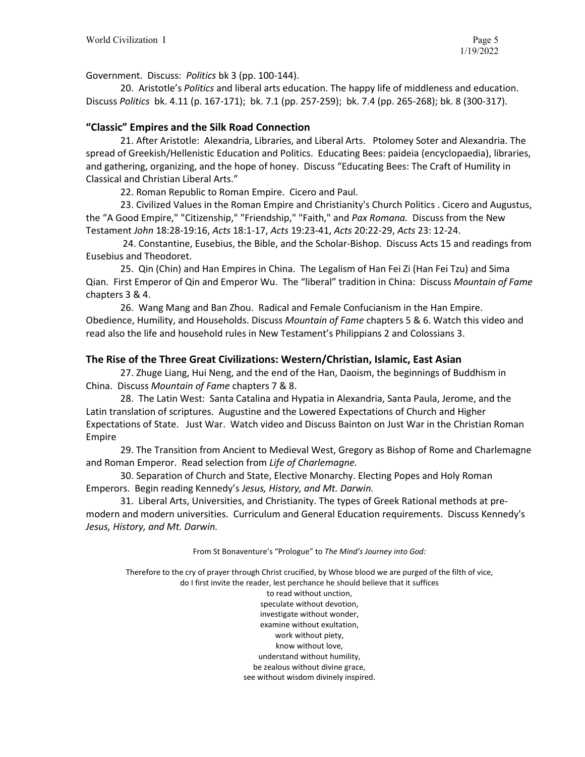Government. Discuss: *Politics* bk 3 (pp. 100-144).

20. Aristotle's *Politics* and liberal arts education. The happy life of middleness and education. Discuss *Politics* bk. 4.11 (p. 167-171); bk. 7.1 (pp. 257-259); bk. 7.4 (pp. 265-268); bk. 8 (300-317).

## **"Classic" Empires and the Silk Road Connection**

21. After Aristotle: Alexandria, Libraries, and Liberal Arts. Ptolomey Soter and Alexandria. The spread of Greekish/Hellenistic Education and Politics. Educating Bees: paideia (encyclopaedia), libraries, and gathering, organizing, and the hope of honey. Discuss "Educating Bees: The Craft of Humility in Classical and Christian Liberal Arts."

22. Roman Republic to Roman Empire. Cicero and Paul.

23. Civilized Values in the Roman Empire and Christianity's Church Politics . Cicero and Augustus, the "A Good Empire," "Citizenship," "Friendship," "Faith," and *Pax Romana.* Discuss from the New Testament *John* 18:28-19:16, *Acts* 18:1-17, *Acts* 19:23-41, *Acts* 20:22-29, *Acts* 23: 12-24.

24. Constantine, Eusebius, the Bible, and the Scholar-Bishop. Discuss Acts 15 and readings from Eusebius and Theodoret.

25. Qin (Chin) and Han Empires in China. The Legalism of Han Fei Zi (Han Fei Tzu) and Sima Qian. First Emperor of Qin and Emperor Wu. The "liberal" tradition in China: Discuss *Mountain of Fame* chapters 3 & 4.

26. Wang Mang and Ban Zhou. Radical and Female Confucianism in the Han Empire. Obedience, Humility, and Households. Discuss *Mountain of Fame* chapters 5 & 6. Watch this video and read also the life and household rules in New Testament's Philippians 2 and Colossians 3.

# **The Rise of the Three Great Civilizations: Western/Christian, Islamic, East Asian**

27. Zhuge Liang, Hui Neng, and the end of the Han, Daoism, the beginnings of Buddhism in China. Discuss *Mountain of Fame* chapters 7 & 8.

28. The Latin West: Santa Catalina and Hypatia in Alexandria, Santa Paula, Jerome, and the Latin translation of scriptures. Augustine and the Lowered Expectations of Church and Higher Expectations of State. Just War. Watch video and Discuss Bainton on Just War in the Christian Roman Empire

29. The Transition from Ancient to Medieval West, Gregory as Bishop of Rome and Charlemagne and Roman Emperor. Read selection from *Life of Charlemagne.*

30. Separation of Church and State, Elective Monarchy. Electing Popes and Holy Roman Emperors. Begin reading Kennedy's *Jesus, History, and Mt. Darwin.*

31. Liberal Arts, Universities, and Christianity. The types of Greek Rational methods at premodern and modern universities. Curriculum and General Education requirements. Discuss Kennedy's *Jesus, History, and Mt. Darwin.*

From St Bonaventure's "Prologue" to *The Mind's Journey into God:*

Therefore to the cry of prayer through Christ crucified, by Whose blood we are purged of the filth of vice, do I first invite the reader, lest perchance he should believe that it suffices

> to read without unction, speculate without devotion, investigate without wonder, examine without exultation, work without piety, know without love, understand without humility, be zealous without divine grace, see without wisdom divinely inspired.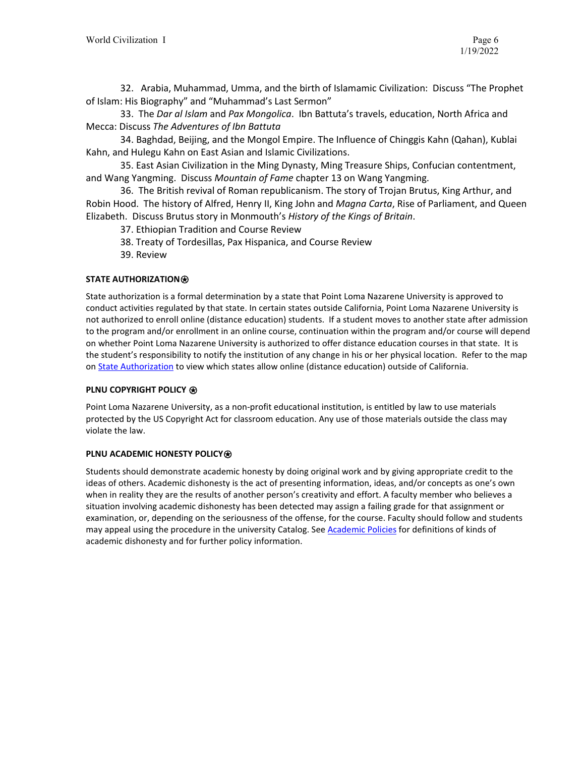32. Arabia, Muhammad, Umma, and the birth of Islamamic Civilization: Discuss "The Prophet of Islam: His Biography" and "Muhammad's Last Sermon"

33. The *Dar al Islam* and *Pax Mongolica*. Ibn Battuta's travels, education, North Africa and Mecca: Discuss *The Adventures of Ibn Battuta*

34. Baghdad, Beijing, and the Mongol Empire. The Influence of Chinggis Kahn (Qahan), Kublai Kahn, and Hulegu Kahn on East Asian and Islamic Civilizations.

35. East Asian Civilization in the Ming Dynasty, Ming Treasure Ships, Confucian contentment, and Wang Yangming. Discuss *Mountain of Fame* chapter 13 on Wang Yangming.

36. The British revival of Roman republicanism. The story of Trojan Brutus, King Arthur, and Robin Hood. The history of Alfred, Henry II, King John and *Magna Carta*, Rise of Parliament, and Queen Elizabeth. Discuss Brutus story in Monmouth's *History of the Kings of Britain*.

37. Ethiopian Tradition and Course Review

38. Treaty of Tordesillas, Pax Hispanica, and Course Review

39. Review

## **STATE AUTHORIZATION**⍟

State authorization is a formal determination by a state that Point Loma Nazarene University is approved to conduct activities regulated by that state. In certain states outside California, Point Loma Nazarene University is not authorized to enroll online (distance education) students. If a student moves to another state after admission to the program and/or enrollment in an online course, continuation within the program and/or course will depend on whether Point Loma Nazarene University is authorized to offer distance education courses in that state. It is the student's responsibility to notify the institution of any change in his or her physical location. Refer to the map on **State Authorization** to view which states allow online (distance education) outside of California.

### **PLNU COPYRIGHT POLICY** ⍟

Point Loma Nazarene University, as a non-profit educational institution, is entitled by law to use materials protected by the US Copyright Act for classroom education. Any use of those materials outside the class may violate the law.

### **PLNU ACADEMIC HONESTY POLICY<sup>®</sup>**

Students should demonstrate academic honesty by doing original work and by giving appropriate credit to the ideas of others. Academic dishonesty is the act of presenting information, ideas, and/or concepts as one's own when in reality they are the results of another person's creativity and effort. A faculty member who believes a situation involving academic dishonesty has been detected may assign a failing grade for that assignment or examination, or, depending on the seriousness of the offense, for the course. Faculty should follow and students may appeal using the procedure in the university Catalog. See [Academic Policies](https://catalog.pointloma.edu/content.php?catoid=52&navoid=2919#Academic_Honesty) for definitions of kinds of academic dishonesty and for further policy information.